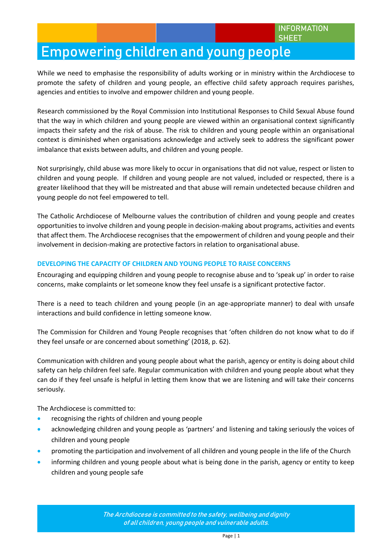## **Empowering children and young people**

While we need to emphasise the responsibility of adults working or in ministry within the Archdiocese to promote the safety of children and young people, an effective child safety approach requires parishes, agencies and entities to involve and empower children and young people.

Research commissioned by the Royal Commission into Institutional Responses to Child Sexual Abuse found that the way in which children and young people are viewed within an organisational context significantly impacts their safety and the risk of abuse. The risk to children and young people within an organisational context is diminished when organisations acknowledge and actively seek to address the significant power imbalance that exists between adults, and children and young people.

Not surprisingly, child abuse was more likely to occur in organisations that did not value, respect or listen to children and young people. If children and young people are not valued, included or respected, there is a greater likelihood that they will be mistreated and that abuse will remain undetected because children and young people do not feel empowered to tell.

The Catholic Archdiocese of Melbourne values the contribution of children and young people and creates opportunities to involve children and young people in decision-making about programs, activities and events that affect them. The Archdiocese recognises that the empowerment of children and young people and their involvement in decision-making are protective factors in relation to organisational abuse.

### **DEVELOPING THE CAPACITY OF CHILDREN AND YOUNG PEOPLE TO RAISE CONCERNS**

Encouraging and equipping children and young people to recognise abuse and to 'speak up' in order to raise concerns, make complaints or let someone know they feel unsafe is a significant protective factor.

There is a need to teach children and young people (in an age-appropriate manner) to deal with unsafe interactions and build confidence in letting someone know.

The Commission for Children and Young People recognises that 'often children do not know what to do if they feel unsafe or are concerned about something' (2018, p. 62).

Communication with children and young people about what the parish, agency or entity is doing about child safety can help children feel safe. Regular communication with children and young people about what they can do if they feel unsafe is helpful in letting them know that we are listening and will take their concerns seriously.

The Archdiocese is committed to:

- **•** recognising the rights of children and young people
- acknowledging children and young people as 'partners' and listening and taking seriously the voices of children and young people
- promoting the participation and involvement of all children and young people in the life of the Church
- informing children and young people about what is being done in the parish, agency or entity to keep children and young people safe

**The Archdiocese is committed to the safety, wellbeing and dignity of all children, young people and vulnerable adults. Child** Page | 1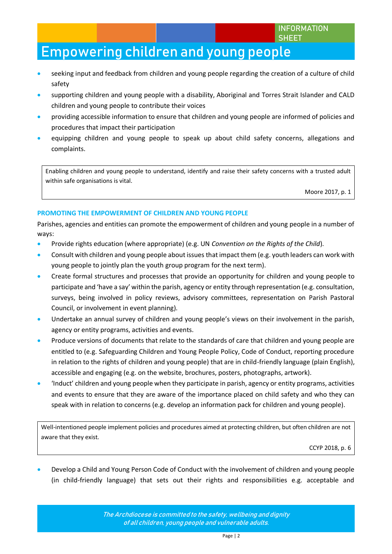## **Empowering children and young people**

- seeking input and feedback from children and young people regarding the creation of a culture of child safety
- supporting children and young people with a disability, Aboriginal and Torres Strait Islander and CALD children and young people to contribute their voices
- providing accessible information to ensure that children and young people are informed of policies and procedures that impact their participation
- equipping children and young people to speak up about child safety concerns, allegations and complaints.

Enabling children and young people to understand, identify and raise their safety concerns with a trusted adult within safe organisations is vital.

Moore 2017, p. 1

#### **PROMOTING THE EMPOWERMENT OF CHILDREN AND YOUNG PEOPLE**

Parishes, agencies and entities can promote the empowerment of children and young people in a number of ways:

- Provide rights education (where appropriate) (e.g. UN *Convention on the Rights of the Child*).
- Consult with children and young people about issues that impact them (e.g. youth leaders can work with young people to jointly plan the youth group program for the next term).
- Create formal structures and processes that provide an opportunity for children and young people to participate and 'have a say' within the parish, agency or entity through representation (e.g. consultation, surveys, being involved in policy reviews, advisory committees, representation on Parish Pastoral Council, or involvement in event planning).
- Undertake an annual survey of children and young people's views on their involvement in the parish, agency or entity programs, activities and events.
- Produce versions of documents that relate to the standards of care that children and young people are entitled to (e.g. Safeguarding Children and Young People Policy, Code of Conduct, reporting procedure in relation to the rights of children and young people) that are in child-friendly language (plain English), accessible and engaging (e.g. on the website, brochures, posters, photographs, artwork).
- 'Induct' children and young people when they participate in parish, agency or entity programs, activities and events to ensure that they are aware of the importance placed on child safety and who they can speak with in relation to concerns (e.g. develop an information pack for children and young people).

Well-intentioned people implement policies and procedures aimed at protecting children, but often children are not aware that they exist.

CCYP 2018, p. 6

 Develop a Child and Young Person Code of Conduct with the involvement of children and young people (in child-friendly language) that sets out their rights and responsibilities e.g. acceptable and

**The Archdiocese is committed to the safety, wellbeing and dignity of all children, young people and vulnerable adults. Child** Page | 2